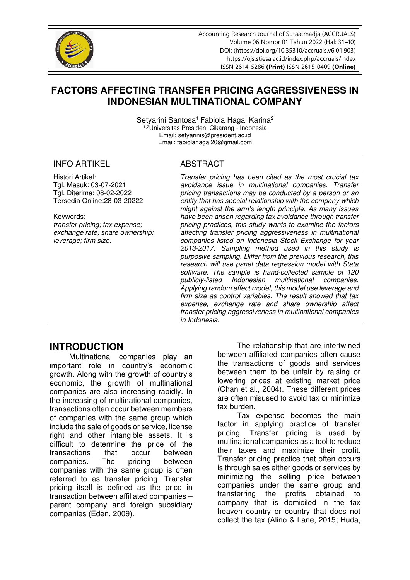

Accounting Research Journal of Sutaatmadja (ACCRUALS) Volume 06 Nomor 01 Tahun 2022 (Hal: 31-40) DOI: [\(https://doi.org/10.35310/accruals.v6i01.903\)](https://doi.org/10.35310/accruals.v6i01.903) <https://ojs.stiesa.ac.id/index.php/accruals/index> [ISSN 2614-5286](http://issn.pdii.lipi.go.id/issn.cgi?daftar&1503402096&1&&) **(Print)** ISSN [2615-0409](http://issn.pdii.lipi.go.id/issn.cgi?daftar&1515994433&1&&) **(Online)** 

# **FACTORS AFFECTING TRANSFER PRICING AGGRESSIVENESS IN INDONESIAN MULTINATIONAL COMPANY**

Setyarini Santosa<sup>1</sup> Fabiola Hagai Karina<sup>2</sup> 1,2Universitas Presiden, Cikarang - Indonesia Email: [setyarinis@president.ac.id](mailto:setyarinis@president.ac.id)  Email: [fabiolahagai20@gmail.com](mailto:fabiolahagai20@gmail.com) 

## INFO ARTIKEL ABSTRACT

| Tgl. Masuk: 03-07-2021<br>avoidance issue in multinational companies. Transfer<br>Tgl. Diterima: 08-02-2022<br>pricing transactions may be conducted by a person or an<br>Tersedia Online: 28-03-20222<br>entity that has special relationship with the company which<br>might against the arm's length principle. As many issues<br>have been arisen regarding tax avoidance through transfer<br>Keywords:<br>pricing practices, this study wants to examine the factors<br>transfer pricing; tax expense;<br>affecting transfer pricing aggressiveness in multinational<br>exchange rate; share ownership;<br>companies listed on Indonesia Stock Exchange for year<br>leverage; firm size.<br>2013-2017. Sampling method used in this study is<br>purposive sampling. Differ from the previous research, this<br>research will use panel data regression model with Stata<br>software. The sample is hand-collected sample of 120<br>publicly-listed Indonesian multinational companies.<br>Applying random effect model, this model use leverage and<br>firm size as control variables. The result showed that tax<br>expense, exchange rate and share ownership affect<br>transfer pricing aggressiveness in multinational companies<br>in Indonesia. | Histori Artikel: | Transfer pricing has been cited as the most crucial tax |
|------------------------------------------------------------------------------------------------------------------------------------------------------------------------------------------------------------------------------------------------------------------------------------------------------------------------------------------------------------------------------------------------------------------------------------------------------------------------------------------------------------------------------------------------------------------------------------------------------------------------------------------------------------------------------------------------------------------------------------------------------------------------------------------------------------------------------------------------------------------------------------------------------------------------------------------------------------------------------------------------------------------------------------------------------------------------------------------------------------------------------------------------------------------------------------------------------------------------------------------------------------|------------------|---------------------------------------------------------|
|                                                                                                                                                                                                                                                                                                                                                                                                                                                                                                                                                                                                                                                                                                                                                                                                                                                                                                                                                                                                                                                                                                                                                                                                                                                            |                  |                                                         |
|                                                                                                                                                                                                                                                                                                                                                                                                                                                                                                                                                                                                                                                                                                                                                                                                                                                                                                                                                                                                                                                                                                                                                                                                                                                            |                  |                                                         |
|                                                                                                                                                                                                                                                                                                                                                                                                                                                                                                                                                                                                                                                                                                                                                                                                                                                                                                                                                                                                                                                                                                                                                                                                                                                            |                  |                                                         |
|                                                                                                                                                                                                                                                                                                                                                                                                                                                                                                                                                                                                                                                                                                                                                                                                                                                                                                                                                                                                                                                                                                                                                                                                                                                            |                  |                                                         |
|                                                                                                                                                                                                                                                                                                                                                                                                                                                                                                                                                                                                                                                                                                                                                                                                                                                                                                                                                                                                                                                                                                                                                                                                                                                            |                  |                                                         |
|                                                                                                                                                                                                                                                                                                                                                                                                                                                                                                                                                                                                                                                                                                                                                                                                                                                                                                                                                                                                                                                                                                                                                                                                                                                            |                  |                                                         |
|                                                                                                                                                                                                                                                                                                                                                                                                                                                                                                                                                                                                                                                                                                                                                                                                                                                                                                                                                                                                                                                                                                                                                                                                                                                            |                  |                                                         |
|                                                                                                                                                                                                                                                                                                                                                                                                                                                                                                                                                                                                                                                                                                                                                                                                                                                                                                                                                                                                                                                                                                                                                                                                                                                            |                  |                                                         |
|                                                                                                                                                                                                                                                                                                                                                                                                                                                                                                                                                                                                                                                                                                                                                                                                                                                                                                                                                                                                                                                                                                                                                                                                                                                            |                  |                                                         |
|                                                                                                                                                                                                                                                                                                                                                                                                                                                                                                                                                                                                                                                                                                                                                                                                                                                                                                                                                                                                                                                                                                                                                                                                                                                            |                  |                                                         |
|                                                                                                                                                                                                                                                                                                                                                                                                                                                                                                                                                                                                                                                                                                                                                                                                                                                                                                                                                                                                                                                                                                                                                                                                                                                            |                  |                                                         |
|                                                                                                                                                                                                                                                                                                                                                                                                                                                                                                                                                                                                                                                                                                                                                                                                                                                                                                                                                                                                                                                                                                                                                                                                                                                            |                  |                                                         |
|                                                                                                                                                                                                                                                                                                                                                                                                                                                                                                                                                                                                                                                                                                                                                                                                                                                                                                                                                                                                                                                                                                                                                                                                                                                            |                  |                                                         |
|                                                                                                                                                                                                                                                                                                                                                                                                                                                                                                                                                                                                                                                                                                                                                                                                                                                                                                                                                                                                                                                                                                                                                                                                                                                            |                  |                                                         |
|                                                                                                                                                                                                                                                                                                                                                                                                                                                                                                                                                                                                                                                                                                                                                                                                                                                                                                                                                                                                                                                                                                                                                                                                                                                            |                  |                                                         |
|                                                                                                                                                                                                                                                                                                                                                                                                                                                                                                                                                                                                                                                                                                                                                                                                                                                                                                                                                                                                                                                                                                                                                                                                                                                            |                  |                                                         |
|                                                                                                                                                                                                                                                                                                                                                                                                                                                                                                                                                                                                                                                                                                                                                                                                                                                                                                                                                                                                                                                                                                                                                                                                                                                            |                  |                                                         |
|                                                                                                                                                                                                                                                                                                                                                                                                                                                                                                                                                                                                                                                                                                                                                                                                                                                                                                                                                                                                                                                                                                                                                                                                                                                            |                  |                                                         |
|                                                                                                                                                                                                                                                                                                                                                                                                                                                                                                                                                                                                                                                                                                                                                                                                                                                                                                                                                                                                                                                                                                                                                                                                                                                            |                  |                                                         |

# **INTRODUCTION**

Multinational companies play an important role in country's economic growth. Along with the growth of country's economic, the growth of multinational companies are also increasing rapidly. In the increasing of multinational companies, transactions often occur between members of companies with the same group which include the sale of goods or service, license right and other intangible assets. It is difficult to determine the price of the transactions that occur between companies. The pricing between companies with the same group is often referred to as transfer pricing. Transfer pricing itself is defined as the price in transaction between affiliated companies – parent company and foreign subsidiary companies (Eden, 2009).

The relationship that are intertwined between affiliated companies often cause the transactions of goods and services between them to be unfair by raising or lowering prices at existing market price (Chan et al., 2004). These different prices are often misused to avoid tax or minimize tax burden.

Tax expense becomes the main factor in applying practice of transfer pricing. Transfer pricing is used by multinational companies as a tool to reduce their taxes and maximize their profit. Transfer pricing practice that often occurs is through sales either goods or services by minimizing the selling price between companies under the same group and transferring the profits obtained to company that is domiciled in the tax heaven country or country that does not collect the tax (Alino & Lane, 2015; Huda,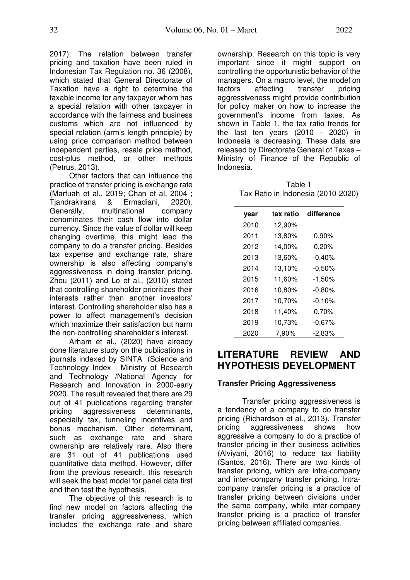2017). The relation between transfer pricing and taxation have been ruled in Indonesian Tax Regulation no. 36 (2008), which stated that General Directorate of Taxation have a right to determine the taxable income for any taxpayer whom has a special relation with other taxpayer in accordance with the fairness and business customs which are not influenced by special relation (arm's length principle) by using price comparison method between independent parties, resale price method, cost-plus method, or other methods (Petrus, 2013).

Other factors that can influence the practice of transfer pricing is exchange rate (Marfuah et al., 2019; Chan et al, 2004 ;<br>Tiandrakirana & Ermadiani. 2020). Tjandrakirana & Ermadiani, 2020). Generally, multinational company denominates their cash flow into dollar currency. Since the value of dollar will keep changing overtime, this might lead the company to do a transfer pricing. Besides tax expense and exchange rate, share ownership is also affecting company's aggressiveness in doing transfer pricing. Zhou (2011) and Lo et al., (2010) stated that controlling shareholder prioritizes their interests rather than another investors' interest. Controlling shareholder also has a power to affect management's decision which maximize their satisfaction but harm the non-controlling shareholder's interest.

Arham et al., (2020) have already done literature study on the publications in journals indexed by SINTA (Science and Technology Index - Ministry of Research and Technology /National Agency for Research and Innovation in 2000-early 2020. The result revealed that there are 29 out of 41 publications regarding transfer pricing aggressiveness determinants, especially tax, tunneling incentives and bonus mechanism. Other determinant, such as exchange rate and share ownership are relatively rare. Also there are 31 out of 41 publications used quantitative data method. However, differ from the previous research, this research will seek the best model for panel data first and then test the hypothesis.

The objective of this research is to find new model on factors affecting the transfer pricing aggressiveness, which includes the exchange rate and share

ownership. Research on this topic is very important since it might support on controlling the opportunistic behavior of the managers. On a macro level, the model on factors affecting transfer pricing aggressiveness might provide contribution for policy maker on how to increase the government's income from taxes. As shown in Table 1, the tax ratio trends for the last ten years (2010 - 2020) in Indonesia is decreasing. These data are released by Directorate General of Taxes – Ministry of Finance of the Republic of Indonesia.

| Table 1                            |
|------------------------------------|
| Tax Ratio in Indonesia (2010-2020) |

| year | tax ratio | difference |
|------|-----------|------------|
| 2010 | 12,90%    |            |
| 2011 | 13,80%    | 0,90%      |
| 2012 | 14,00%    | 0,20%      |
| 2013 | 13,60%    | $-0,40%$   |
| 2014 | 13,10%    | $-0,50%$   |
| 2015 | 11,60%    | $-1,50%$   |
| 2016 | 10,80%    | $-0,80%$   |
| 2017 | 10,70%    | $-0,10%$   |
| 2018 | 11,40%    | 0,70%      |
| 2019 | 10,73%    | $-0.67%$   |
| 2020 | 7,90%     | -2,83%     |

# **LITERATURE REVIEW AND HYPOTHESIS DEVELOPMENT**

## **Transfer Pricing Aggressiveness**

Transfer pricing aggressiveness is a tendency of a company to do transfer pricing (Richardson et al., 2013). Transfer pricing aggressiveness shows how aggressive a company to do a practice of transfer pricing in their business activities (Alviyani, 2016) to reduce tax liability (Santos, 2016). There are two kinds of transfer pricing, which are intra-company and inter-company transfer pricing. Intracompany transfer pricing is a practice of transfer pricing between divisions under the same company, while inter-company transfer pricing is a practice of transfer pricing between affiliated companies.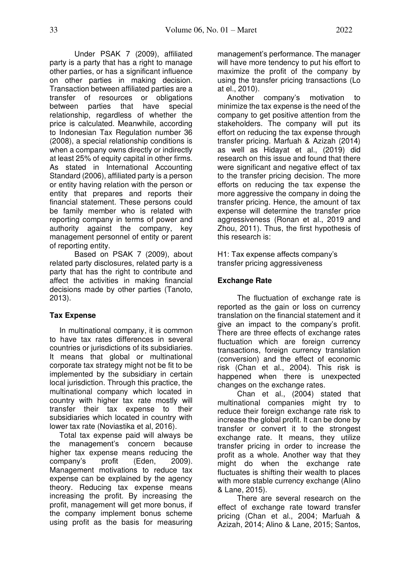Under PSAK 7 (2009), affiliated party is a party that has a right to manage other parties, or has a significant influence on other parties in making decision. Transaction between affiliated parties are a transfer of resources or obligations between parties that have special relationship, regardless of whether the price is calculated. Meanwhile, according to Indonesian Tax Regulation number 36 (2008), a special relationship conditions is when a company owns directly or indirectly at least 25% of equity capital in other firms. As stated in International Accounting Standard (2006), affiliated party is a person or entity having relation with the person or entity that prepares and reports their financial statement. These persons could be family member who is related with reporting company in terms of power and authority against the company, key management personnel of entity or parent of reporting entity.

 Based on PSAK 7 (2009), about related party disclosures, related party is a party that has the right to contribute and affect the activities in making financial decisions made by other parties (Tanoto, 2013).

# **Tax Expense**

In multinational company, it is common to have tax rates differences in several countries or jurisdictions of its subsidiaries. It means that global or multinational corporate tax strategy might not be fit to be implemented by the subsidiary in certain local jurisdiction. Through this practice, the multinational company which located in country with higher tax rate mostly will transfer their tax expense to their subsidiaries which located in country with lower tax rate (Noviastika et al, 2016).

Total tax expense paid will always be the management's concern because higher tax expense means reducing the company's profit (Eden, 2009). Management motivations to reduce tax expense can be explained by the agency theory. Reducing tax expense means increasing the profit. By increasing the profit, management will get more bonus, if the company implement bonus scheme using profit as the basis for measuring management's performance. The manager will have more tendency to put his effort to maximize the profit of the company by using the transfer pricing transactions (Lo at el., 2010).

Another company's motivation to minimize the tax expense is the need of the company to get positive attention from the stakeholders. The company will put its effort on reducing the tax expense through transfer pricing. Marfuah & Azizah (2014) as well as Hidayat et al., (2019) did research on this issue and found that there were significant and negative effect of tax to the transfer pricing decision. The more efforts on reducing the tax expense the more aggressive the company in doing the transfer pricing. Hence, the amount of tax expense will determine the transfer price aggressiveness (Ronan et al., 2019 and Zhou, 2011). Thus, the first hypothesis of this research is:

H1: Tax expense affects company's transfer pricing aggressiveness

# **Exchange Rate**

The fluctuation of exchange rate is reported as the gain or loss on currency translation on the financial statement and it give an impact to the company's profit. There are three effects of exchange rates fluctuation which are foreign currency transactions, foreign currency translation (conversion) and the effect of economic risk (Chan et al., 2004). This risk is happened when there is unexpected changes on the exchange rates.

Chan et al., (2004) stated that multinational companies might try to reduce their foreign exchange rate risk to increase the global profit. It can be done by transfer or convert it to the strongest exchange rate. It means, they utilize transfer pricing in order to increase the profit as a whole. Another way that they might do when the exchange rate fluctuates is shifting their wealth to places with more stable currency exchange (Alino & Lane, 2015).

There are several research on the effect of exchange rate toward transfer pricing (Chan et al., 2004; Marfuah & Azizah, 2014; Alino & Lane, 2015; Santos,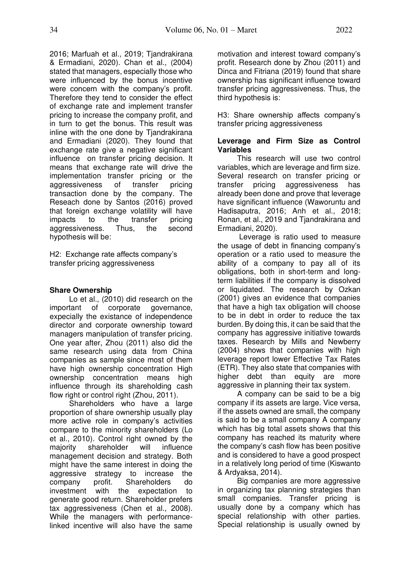2016; Marfuah et al., 2019; Tjandrakirana & Ermadiani, 2020). Chan et al., (2004) stated that managers, especially those who were influenced by the bonus incentive were concern with the company's profit. Therefore they tend to consider the effect of exchange rate and implement transfer pricing to increase the company profit, and in turn to get the bonus. This result was inline with the one done by Tiandrakirana and Ermadiani (2020). They found that exchange rate give a negative significant influence on transfer pricing decision. It means that exchange rate will drive the implementation transfer pricing or the aggressiveness of transfer pricing transaction done by the company. The Reseach done by Santos (2016) proved that foreign exchange volatility will have impacts to the transfer pricing aggressiveness. Thus, the second hypothesis will be:

H2: Exchange rate affects company's transfer pricing aggressiveness

## **Share Ownership**

Lo et al., (2010) did research on the important of corporate governance, expecially the existance of independence director and corporate ownership toward managers manipulation of transfer pricing. One year after, Zhou (2011) also did the same research using data from China companies as sample since most of them have high ownership concentration High ownership concentration means high influence through its shareholding cash flow right or control right (Zhou, 2011).

Shareholders who have a large proportion of share ownership usually play more active role in company's activities compare to the minority shareholders (Lo et al., 2010). Control right owned by the majority shareholder will influence management decision and strategy. Both might have the same interest in doing the aggressive strategy to increase the company profit. Shareholders do investment with the expectation to generate good return. Shareholder prefers tax aggressiveness (Chen et al., 2008). While the managers with performancelinked incentive will also have the same motivation and interest toward company's profit. Research done by Zhou (2011) and Dinca and Fitriana (2019) found that share ownership has significant influence toward transfer pricing aggressiveness. Thus, the third hypothesis is:

H3: Share ownership affects company's transfer pricing aggressiveness

### **Leverage and Firm Size as Control Variables**

This research will use two control variables, which are leverage and firm size. Several research on transfer pricing or transfer pricing aggressiveness has already been done and prove that leverage have significant influence (Waworuntu and Hadisaputra, 2016; Anh et al., 2018; Ronan, et al., 2019 and Tjandrakirana and Ermadiani, 2020).

 Leverage is ratio used to measure the usage of debt in financing company's operation or a ratio used to measure the ability of a company to pay all of its obligations, both in short-term and longterm liabilities if the company is dissolved or liquidated. The research by Ozkan (2001) gives an evidence that companies that have a high tax obligation will choose to be in debt in order to reduce the tax burden. By doing this, it can be said that the company has aggressive initiative towards taxes. Research by Mills and Newberry (2004) shows that companies with high leverage report lower Effective Tax Rates (ETR). They also state that companies with higher debt than equity are more aggressive in planning their tax system.

A company can be said to be a big company if its assets are large. Vice versa, if the assets owned are small, the company is said to be a small company A company which has big total assets shows that this company has reached its maturity where the company's cash flow has been positive and is considered to have a good prospect in a relatively long period of time (Kiswanto & Ardyaksa, 2014).

Big companies are more aggressive in organizing tax planning strategies than small companies. Transfer pricing is usually done by a company which has special relationship with other parties. Special relationship is usually owned by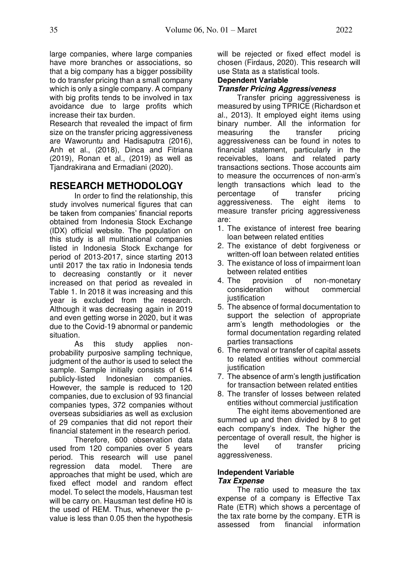large companies, where large companies have more branches or associations, so that a big company has a bigger possibility to do transfer pricing than a small company which is only a single company. A company with big profits tends to be involved in tax avoidance due to large profits which increase their tax burden.

Research that revealed the impact of firm size on the transfer pricing aggressiveness are Waworuntu and Hadisaputra (2016), Anh et al., (2018), Dinca and Fitriana (2019), Ronan et al., (2019) as well as Tjandrakirana and Ermadiani (2020).

# **RESEARCH METHODOLOGY**

 In order to find the relationship, this study involves numerical figures that can be taken from companies' financial reports obtained from Indonesia Stock Exchange (IDX) official website. The population on this study is all multinational companies listed in Indonesia Stock Exchange for period of 2013-2017, since starting 2013 until 2017 the tax ratio in Indonesia tends to decreasing constantly or it never increased on that period as revealed in Table 1. In 2018 it was increasing and this year is excluded from the research. Although it was decreasing again in 2019 and even getting worse in 2020, but it was due to the Covid-19 abnormal or pandemic situation.

As this study applies nonprobability purposive sampling technique, judgment of the author is used to select the sample. Sample initially consists of 614 publicly-listed Indonesian companies. However, the sample is reduced to 120 companies, due to exclusion of 93 financial companies types, 372 companies without overseas subsidiaries as well as exclusion of 29 companies that did not report their financial statement in the research period.

Therefore, 600 observation data used from 120 companies over 5 years period. This research will use panel regression data model. There are approaches that might be used, which are fixed effect model and random effect model. To select the models, Hausman test will be carry on. Hausman test define H0 is the used of REM. Thus, whenever the pvalue is less than 0.05 then the hypothesis

will be rejected or fixed effect model is chosen (Firdaus, 2020). This research will use Stata as a statistical tools.

## **Dependent Variable**

## **Transfer Pricing Aggressiveness**

Transfer pricing aggressiveness is measured by using TPRICE (Richardson et al., 2013). It employed eight items using binary number. All the information for<br>measuring the transfer pricing measuring the transfer pricing aggressiveness can be found in notes to financial statement, particularly in the receivables, loans and related party transactions sections. Those accounts aim to measure the occurrences of non-arm's length transactions which lead to the percentage of transfer pricing aggressiveness. The eight items to measure transfer pricing aggressiveness are:

- 1. The existance of interest free bearing loan between related entities
- 2. The existance of debt forgiveness or written-off loan between related entities
- 3. The existance of loss of impairment loan between related entities
- 4. The provision of non-monetary consideration without commercial iustification
- 5. The absence of formal documentation to support the selection of appropriate arm's length methodologies or the formal documentation regarding related parties transactions
- 6. The removal or transfer of capital assets to related entities without commercial iustification
- 7. The absence of arm's length justification for transaction between related entities
- 8. The transfer of losses between related entities without commercial justification

The eight items abovementioned are summed up and then divided by 8 to get each company's index. The higher the percentage of overall result, the higher is the level of transfer pricing aggressiveness.

#### **Independent Variable Tax Expense**

The ratio used to measure the tax expense of a company is Effective Tax Rate (ETR) which shows a percentage of the tax rate borne by the company. ETR is assessed from financial information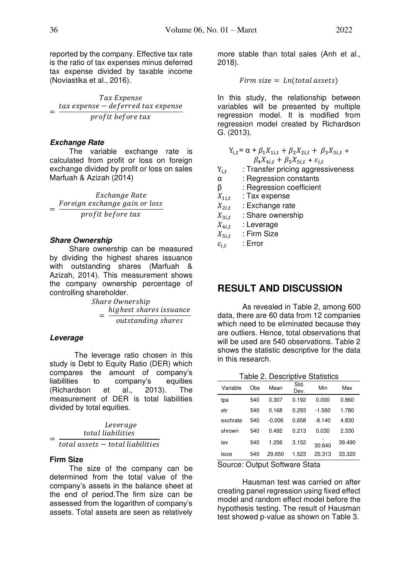reported by the company. Effective tax rate is the ratio of tax expenses minus deferred

tax expense divided by taxable income (Noviastika et al., 2016).

Tax Expense  $=$   $\overline{a}$ tax expense – deferred tax expense profit before tax

#### **Exchange Rate**

The variable exchange rate is calculated from profit or loss on foreign exchange divided by profit or loss on sales Marfuah & Azizah (2014)

Exchange Rate = Foreign exchange gain or loss profit before tax

#### **Share Ownership**

Share ownership can be measured by dividing the highest shares issuance with outstanding shares (Marfuah & Azizah, 2014). This measurement shows the company ownership percentage of controlling shareholder.

Share Ownership = highest shares issuance outstanding shares

## **Leverage**

The leverage ratio chosen in this study is Debt to Equity Ratio (DER) which compares the amount of company's<br>liabilities to company's equities to company's equities (Richardson et al., 2013). The measurement of DER is total liabilities divided by total equities.

Leverage  $=$   $\frac{1}{total}$  assets  $-$  total liabilities total liabilities

## **Firm Size**

The size of the company can be determined from the total value of the company's assets in the balance sheet at the end of period.The firm size can be assessed from the logarithm of company's assets. Total assets are seen as relatively

more stable than total sales (Anh et al., 2018).

 $Firm size = In (total assets)$ 

In this study, the relationship between variables will be presented by multiple regression model. It is modified from regression model created by Richardson G. (2013).

$$
Y_{i,t} = \alpha + \beta_1 X_{1i,t} + \beta_2 X_{2i,t} + \beta_3 X_{3i,t} + \beta_4 X_{4i,t} + \beta_5 X_{5i,t} + \varepsilon_{i,t}
$$

 $Y_{i,t}$  : Transfer pricing aggressiveness

- α : Regression constants
- β : Regression coefficient
- $X_{1i,t}$  : Tax expense<br> $X_{2i,t}$  : Exchange rat
- $X_{2i,t}$  : Exchange rate<br> $X_{3i,t}$  : Share ownersh
- $X_{3i,t}$  : Share ownership<br> $X_{4i,t}$  : Leverage
- 
- $X_{4i,t}$  : Leverage<br> $X_{5i,t}$  : Firm Size 5, : Firm Size

 $\varepsilon_{i,t}$  : Error

# **RESULT AND DISCUSSION**

As revealed in Table 2, among 600 data, there are 60 data from 12 companies which need to be eliminated because they are outliers. Hence, total observations that will be used are 540 observations. Table 2 shows the statistic descriptive for the data in this research.

Table 2. Descriptive Statistics

| Variable | Obs | Mean   | Std.<br>Dev. | Min      | Max    |
|----------|-----|--------|--------------|----------|--------|
| tpa      | 540 | 0.307  | 0.192        | 0.000    | 0.860  |
| etr      | 540 | 0.168  | 0.293        | $-1.560$ | 1.780  |
| exchrate | 540 | -0.006 | 0.658        | $-8.140$ | 4.830  |
| shrown   | 540 | 0.492  | 0.213        | 0.030    | 2.330  |
| lev      | 540 | 1.256  | 3.152        | 30.640   | 39.490 |
| Isize    | 540 | 29.650 | 1.523        | 25.313   | 33.320 |

Source: Output Software Stata

 Hausman test was carried on after creating panel regression using fixed effect model and random effect model before the hypothesis testing. The result of Hausman test showed p-value as shown on Table 3.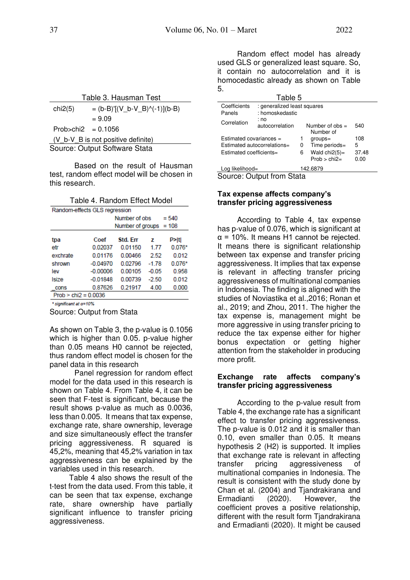| Table 3. Hausman Test |  |
|-----------------------|--|
|                       |  |

| chi2(5)                            | $= (b-B)'[(V_b-V_B)'(-1)](b-B)$ |  |  |  |
|------------------------------------|---------------------------------|--|--|--|
|                                    | $= 9.09$                        |  |  |  |
| $Prob > chi2 = 0.1056$             |                                 |  |  |  |
| (V_b-V_B is not positive definite) |                                 |  |  |  |
| Source: Output Software Stata      |                                 |  |  |  |

 Based on the result of Hausman test, random effect model will be chosen in this research.

Table 4. Random Effect Model

| Random-effects GLS regression |            |                          |         |          |  |
|-------------------------------|------------|--------------------------|---------|----------|--|
|                               |            | Number of obs<br>$= 540$ |         |          |  |
| Number of groups $= 108$      |            |                          |         |          |  |
| tpa                           | Coef       | Std. Frr                 | 7       | P>iti    |  |
| etr                           | 0.02037    | 0.01150                  | 1.77    | $0.076*$ |  |
| exchrate                      | 0.01176    | 0.00466                  | 2.52    | 0.012    |  |
| shrown                        | $-0.04970$ | 002796                   | $-1.78$ | $0.076*$ |  |
| lev                           | $-0.00006$ | 0.00105                  | $-0.05$ | 0.958    |  |
| Isize                         | $-0.01848$ | 0.00739                  | -2.50   | 0.012    |  |
| cons                          | 0.87626    | 0.21917                  | 4.00    | 0.000    |  |
| $Prob > chi2 = 0.0036$        |            |                          |         |          |  |
|                               |            |                          |         |          |  |

\* significant at a=10%

Source: Output from Stata

As shown on Table 3, the p-value is 0.1056 which is higher than 0.05. p-value higher than 0.05 means H0 cannot be rejected, thus random effect model is chosen for the panel data in this research

 Panel regression for random effect model for the data used in this research is shown on Table 4. From Table 4, it can be seen that F-test is significant, because the result shows p-value as much as 0.0036, less than 0.005. It means that tax expense, exchange rate, share ownership, leverage and size simultaneously effect the transfer pricing aggressiveness. R squared is 45,2%, meaning that 45,2% variation in tax aggressiveness can be explained by the variables used in this research.

Table 4 also shows the result of the t-test from the data used. From this table, it can be seen that tax expense, exchange rate, share ownership have partially significant influence to transfer pricing aggressiveness.

Random effect model has already used GLS or generalized least square. So, it contain no autocorrelation and it is homocedastic already as shown on Table 5.

| Table 5                                                                             |                                                                  |                 |                                                                   |                           |  |
|-------------------------------------------------------------------------------------|------------------------------------------------------------------|-----------------|-------------------------------------------------------------------|---------------------------|--|
| Coefficients                                                                        | : generalized least squares                                      |                 |                                                                   |                           |  |
| Panels                                                                              |                                                                  | : homoskedastic |                                                                   |                           |  |
| Correlation                                                                         | : no<br>Number of $obs =$<br>autocorrelation<br>540<br>Number of |                 |                                                                   |                           |  |
| Estimated covariances $=$<br>Estimated autocorrelations=<br>Estimated coefficients= |                                                                  | 1<br>0<br>6     | $groups =$<br>Time periods=<br>Wald $chi2(5)$ =<br>$Prob > chi2=$ | 108<br>5<br>37.48<br>0.00 |  |
| Log likelihood=                                                                     |                                                                  |                 | 142.6879                                                          |                           |  |
| $P_{\text{Alitax}}$ $P_{\text{ulax}}$ tram $P_{\text{tab}}$                         |                                                                  |                 |                                                                   |                           |  |

Source: Output from Stata

## **Tax expense affects company's transfer pricing aggressiveness**

According to Table 4, tax expense has p-value of 0.076, which is significant at  $\alpha$  = 10%. It means H1 cannot be rejected. It means there is significant relationship between tax expense and transfer pricing aggressiveness. It implies that tax expense is relevant in affecting transfer pricing aggressiveness of multinational companies in Indonesia. The finding is aligned with the studies of Noviastika et al.,2016; Ronan et al., 2019; and Zhou, 2011. The higher the tax expense is, management might be more aggressive in using transfer pricing to reduce the tax expense either for higher bonus expectation or getting higher attention from the stakeholder in producing more profit.

## **Exchange rate affects company's transfer pricing aggressiveness**

According to the p-value result from Table 4, the exchange rate has a significant effect to transfer pricing aggressiveness. The p-value is 0.012 and it is smaller than 0.10, even smaller than 0.05. It means hypothesis 2 (H2) is supported. It implies that exchange rate is relevant in affecting transfer pricing aggressiveness of multinational companies in Indonesia. The result is consistent with the study done by Chan et al. (2004) and Tjandrakirana and Ermadianti (2020). However, the coefficient proves a positive relationship, different with the result form Tjandrakirana and Ermadianti (2020). It might be caused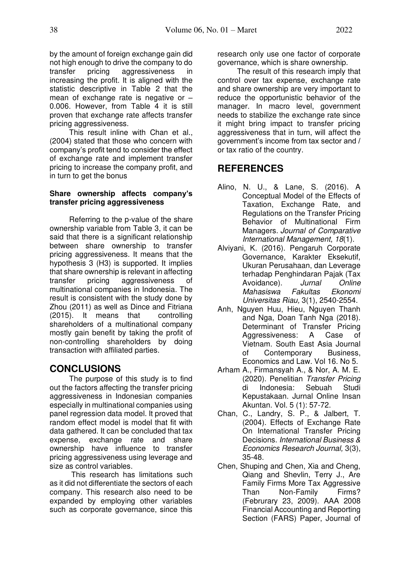by the amount of foreign exchange gain did not high enough to drive the company to do transfer pricing aggressiveness in increasing the profit. It is aligned with the statistic descriptive in Table 2 that the mean of exchange rate is negative or – 0.006. However, from Table 4 it is still proven that exchange rate affects transfer pricing aggressiveness.

This result inline with Chan et al., (2004) stated that those who concern with company's profit tend to consider the effect of exchange rate and implement transfer pricing to increase the company profit, and in turn to get the bonus

#### **Share ownership affects company's transfer pricing aggressiveness**

Referring to the p-value of the share ownership variable from Table 3, it can be said that there is a significant relationship between share ownership to transfer pricing aggressiveness. It means that the hypothesis 3 (H3) is supported. It implies that share ownership is relevant in affecting transfer pricing aggressiveness of multinational companies in Indonesia. The result is consistent with the study done by Zhou (2011) as well as Dince and Fitriana (2015). It means that controlling shareholders of a multinational company mostly gain benefit by taking the profit of non-controlling shareholders by doing transaction with affiliated parties.

# **CONCLUSIONS**

 The purpose of this study is to find out the factors affecting the transfer pricing aggressiveness in Indonesian companies especially in multinational companies using panel regression data model. It proved that random effect model is model that fit with data gathered. It can be concluded that tax expense, exchange rate and share ownership have influence to transfer pricing aggressiveness using leverage and size as control variables.

 This research has limitations such as it did not differentiate the sectors of each company. This research also need to be expanded by employing other variables such as corporate governance, since this

research only use one factor of corporate governance, which is share ownership.

 The result of this research imply that control over tax expense, exchange rate and share ownership are very important to reduce the opportunistic behavior of the manager. In macro level, government needs to stabilize the exchange rate since it might bring impact to transfer pricing aggressiveness that in turn, will affect the government's income from tax sector and / or tax ratio of the country.

# **REFERENCES**

- Alino, N. U., & Lane, S. (2016). A Conceptual Model of the Effects of Taxation, Exchange Rate, and Regulations on the Transfer Pricing Behavior of Multinational Firm Managers. *Journal of Comparative International Management*, *18*(1).
- Alviyani, K. (2016). Pengaruh Corporate Governance, Karakter Eksekutif, Ukuran Perusahaan, dan Leverage terhadap Penghindaran Pajak (Tax Avoidance). *Jurnal Online Mahasiswa Fakultas Ekonomi Universitas Riau,* 3(1), 2540-2554.
- Anh, Nguyen Huu, Hieu, Nguyen Thanh and Nga, Doan Tanh Nga (2018). Determinant of Transfer Pricing Aggressiveness: A Case of Vietnam. South East Asia Journal of Contemporary Business, Economics and Law. Vol 16. No 5.
- Arham A., Firmansyah A., & Nor, A. M. E. (2020). Penelitian *Transfer Pricing*  di Indonesia: Sebuah Studi Kepustakaan. Jurnal Online Insan Akuntan. Vol. 5 (1): 57-72.
- Chan, C., Landry, S. P., & Jalbert, T. (2004). Effects of Exchange Rate On International Transfer Pricing Decisions. *International Business & Economics Research Journal,* 3(3), 35-48.
- Chen, Shuping and Chen, Xia and Cheng, Qiang and Shevlin, Terry J., Are Family Firms More Tax Aggressive Than Non-Family Firms? (Februrary 23, 2009). AAA 2008 Financial Accounting and Reporting Section (FARS) Paper, Journal of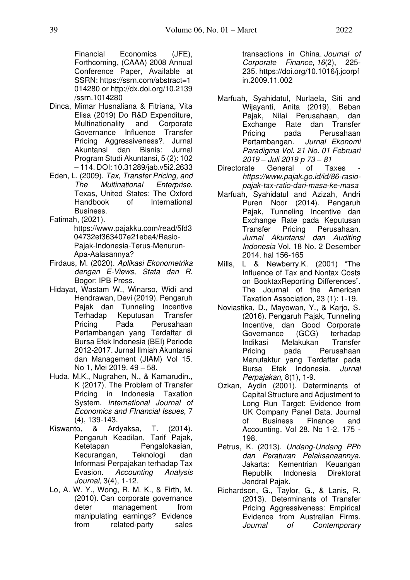Financial Economics (JFE), Forthcoming, (CAAA) 2008 Annual Conference Paper, Available at SSRN: [https://ssrn.com/abstract=1](https://ssrn.com/abstract=1014280) [014280](https://ssrn.com/abstract=1014280) or [http://dx.doi.org/10.2139](https://dx.doi.org/10.2139/ssrn.1014280) [/ssrn.1014280](https://dx.doi.org/10.2139/ssrn.1014280) 

- Dinca, Mimar Husnaliana & Fitriana, Vita Elisa (2019) Do R&D Expenditure, Multinationality and Corporate Governance Influence Transfer Pricing Aggressiveness?. Jurnal Akuntansi dan Bisnis: Jurnal Program Studi Akuntansi, 5 (2): 102 – 114. DOI: 10.31289/jab.v5i2.2633
- Eden, L. (2009). *Tax, Transfer Pricing, and The Multinational Enterprise.* Texas, United States: The Oxford International Business.

Fatimah, (2021).

https://www.pajakku.com/read/5fd3 04732ef363407e21eba4/Rasio-Pajak-Indonesia-Terus-Menurun-Apa-Aalasannya?

- Firdaus, M. (2020). *Aplikasi Ekonometrika dengan E-Views, Stata dan R.*  Bogor: IPB Press.
- Hidayat, Wastam W., Winarso, Widi and Hendrawan, Devi (2019). Pengaruh Pajak dan Tunneling Incentive Terhadap Keputusan Transfer Pricing Pada Perusahaan Pertambangan yang Terdaftar di Bursa Efek Indonesia (BEI) Periode 2012-2017. Jurnal Ilmiah Akuntansi dan Management (JIAM) Vol 15. No 1, Mei 2019. 49 – 58.
- Huda, M.K., Nugrahen, N., & Kamarudin., K (2017). The Problem of Transfer Pricing in Indonesia Taxation System. *International Journal of Economics and FInancial Issues,* 7 (4), 139-143.
- Kiswanto, & Ardyaksa, T. (2014). Pengaruh Keadilan, Tarif Pajak, Ketetapan Pengalokasian, Kecurangan, Teknologi dan Informasi Perpajakan terhadap Tax Evasion. *Accounting Analysis Journal,* 3(4), 1-12.
- Lo, A. W. Y[., Wong, R. M. K.,](https://scholars.cityu.edu.hk/en/persons/man-kong-wong(3e3c781c-ccda-4841-9cc1-e74ebb1e1116).html) & Firth, M. (2010). [Can corporate governance](https://scholars.cityu.edu.hk/en/publications/can-corporate-governance-deter-management-from-manipulating-earnings-evidence-from-relatedparty-sales-transactions-in-china(fdb0fe63-c4b3-497f-aa9e-410f45549d3f).html)  deter management from [manipulating earnings? Evidence](https://scholars.cityu.edu.hk/en/publications/can-corporate-governance-deter-management-from-manipulating-earnings-evidence-from-relatedparty-sales-transactions-in-china(fdb0fe63-c4b3-497f-aa9e-410f45549d3f).html)  [from related-party sales](https://scholars.cityu.edu.hk/en/publications/can-corporate-governance-deter-management-from-manipulating-earnings-evidence-from-relatedparty-sales-transactions-in-china(fdb0fe63-c4b3-497f-aa9e-410f45549d3f).html)

[transactions in China.](https://scholars.cityu.edu.hk/en/publications/can-corporate-governance-deter-management-from-manipulating-earnings-evidence-from-relatedparty-sales-transactions-in-china(fdb0fe63-c4b3-497f-aa9e-410f45549d3f).html) *[Journal of](https://scholars.cityu.edu.hk/en/journals/journal-of-corporate-finance(99e06ad0-52d3-4877-abc4-07f8a11950b2)/publications.html)  [Corporate Finance](https://scholars.cityu.edu.hk/en/journals/journal-of-corporate-finance(99e06ad0-52d3-4877-abc4-07f8a11950b2)/publications.html)*, *16*(2), 225- 235. [https://doi.org/10.1016/j.jcorpf](https://doi.org/10.1016/j.jcorpfin.2009.11.002) [in.2009.11.002](https://doi.org/10.1016/j.jcorpfin.2009.11.002) 

- Marfuah, Syahidatul, Nurlaela, Siti and Wijayanti, Anita (2019). Beban Pajak, Nilai Perusahaan, dan Exchange Rate dan Transfer Pricing pada Perusahaan Pertambangan. *Jurnal Ekonomi Paradigma Vol. 21 No. 01 Februari 2019 – Juli 2019 p 73 – 81*
- Directorate General of Taxes *https://www.pajak.go.id/id/86-rasiopajak-tax-ratio-dari-masa-ke-masa*
- Marfuah, Syahidatul and Azizah, Andri Puren Noor (2014). Pengaruh Pajak, Tunneling Incentive dan Exchange Rate pada Keputusan Transfer Pricing Perusahaan. *Jurnal Akuntansi dan Auditing Indonesia* Vol. 18 No. 2 Desember 2014. hal 156-165
- Mills, L & Newberry.K. (2001) "The Influence of Tax and Nontax Costs on BooktaxReporting Differences". The Journal of the American Taxation Association, 23 (1): 1-19.
- Noviastika, D., Mayowan, Y., & Karjo, S. (2016). Pengaruh Pajak, Tunneling Incentive, dan Good Corporate Governance (GCG) terhadap Indikasi Melakukan Transfer Pricing pada Perusahaan Manufaktur yang Terdaftar pada Bursa Efek Indonesia. *Jurnal Perpajakan,* 8(1), 1-9.
- Ozkan, Aydin (2001). Determinants of Capital Structure and Adjustment to Long Run Target: Evidence from UK Company Panel Data. Journal of Business Finance and Accounting. Vol 28. No 1-2. 175 - 198.
- Petrus, K. (2013). *Undang-Undang PPh dan Peraturan Pelaksanaannya.* Jakarta: Kementrian Keuangan Republik Indonesia Direktorat Jendral Pajak.
- Richardson, G., Taylor, G., & Lanis, R. (2013). Determinants of Transfer Pricing Aggressiveness: Empirical Evidence from Australian Firms. *Journal of Contemporary*